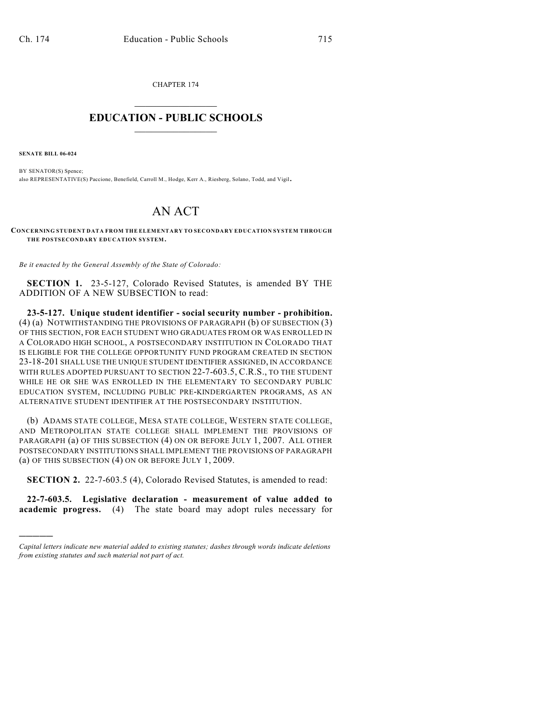CHAPTER 174  $\overline{\phantom{a}}$  . The set of the set of the set of the set of the set of the set of the set of the set of the set of the set of the set of the set of the set of the set of the set of the set of the set of the set of the set o

## **EDUCATION - PUBLIC SCHOOLS**  $\_$   $\_$   $\_$   $\_$   $\_$   $\_$   $\_$   $\_$   $\_$

**SENATE BILL 06-024**

)))))

BY SENATOR(S) Spence; also REPRESENTATIVE(S) Paccione, Benefield, Carroll M., Hodge, Kerr A., Riesberg, Solano, Todd, and Vigil.

## AN ACT

**CONCERNING STUDENT DATA FROM THE ELEMENTARY TO SECONDARY EDUCATION SYSTEM THROUGH THE POSTSECONDARY EDUCATION SYSTEM.**

*Be it enacted by the General Assembly of the State of Colorado:*

**SECTION 1.** 23-5-127, Colorado Revised Statutes, is amended BY THE ADDITION OF A NEW SUBSECTION to read:

**23-5-127. Unique student identifier - social security number - prohibition.** (4) (a) NOTWITHSTANDING THE PROVISIONS OF PARAGRAPH (b) OF SUBSECTION (3) OF THIS SECTION, FOR EACH STUDENT WHO GRADUATES FROM OR WAS ENROLLED IN A COLORADO HIGH SCHOOL, A POSTSECONDARY INSTITUTION IN COLORADO THAT IS ELIGIBLE FOR THE COLLEGE OPPORTUNITY FUND PROGRAM CREATED IN SECTION 23-18-201 SHALL USE THE UNIQUE STUDENT IDENTIFIER ASSIGNED, IN ACCORDANCE WITH RULES ADOPTED PURSUANT TO SECTION 22-7-603.5, C.R.S., TO THE STUDENT WHILE HE OR SHE WAS ENROLLED IN THE ELEMENTARY TO SECONDARY PUBLIC EDUCATION SYSTEM, INCLUDING PUBLIC PRE-KINDERGARTEN PROGRAMS, AS AN ALTERNATIVE STUDENT IDENTIFIER AT THE POSTSECONDARY INSTITUTION.

(b) ADAMS STATE COLLEGE, MESA STATE COLLEGE, WESTERN STATE COLLEGE, AND METROPOLITAN STATE COLLEGE SHALL IMPLEMENT THE PROVISIONS OF PARAGRAPH (a) OF THIS SUBSECTION (4) ON OR BEFORE JULY 1, 2007. ALL OTHER POSTSECONDARY INSTITUTIONS SHALL IMPLEMENT THE PROVISIONS OF PARAGRAPH (a) OF THIS SUBSECTION (4) ON OR BEFORE JULY 1, 2009.

**SECTION 2.** 22-7-603.5 (4), Colorado Revised Statutes, is amended to read:

**22-7-603.5. Legislative declaration - measurement of value added to academic progress.** (4) The state board may adopt rules necessary for

*Capital letters indicate new material added to existing statutes; dashes through words indicate deletions from existing statutes and such material not part of act.*